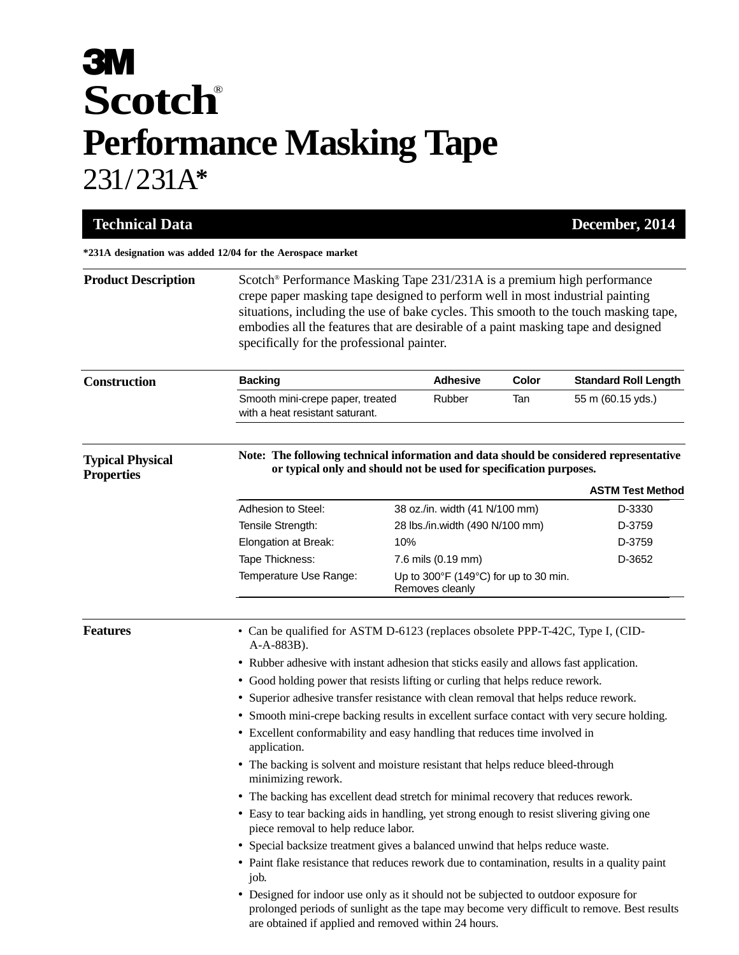## **3M Scotch** ® **Performance Masking Tape** 231/231A**\***

| <b>Technical Data</b>                                      |                                                                                                                                                                                                                                                                                                                                                                                                 |                                                                    |       | December, 2014              |  |
|------------------------------------------------------------|-------------------------------------------------------------------------------------------------------------------------------------------------------------------------------------------------------------------------------------------------------------------------------------------------------------------------------------------------------------------------------------------------|--------------------------------------------------------------------|-------|-----------------------------|--|
| *231A designation was added 12/04 for the Aerospace market |                                                                                                                                                                                                                                                                                                                                                                                                 |                                                                    |       |                             |  |
| <b>Product Description</b>                                 | Scotch <sup>®</sup> Performance Masking Tape 231/231A is a premium high performance<br>crepe paper masking tape designed to perform well in most industrial painting<br>situations, including the use of bake cycles. This smooth to the touch masking tape,<br>embodies all the features that are desirable of a paint masking tape and designed<br>specifically for the professional painter. |                                                                    |       |                             |  |
| <b>Construction</b>                                        | <b>Backing</b>                                                                                                                                                                                                                                                                                                                                                                                  | <b>Adhesive</b>                                                    | Color | <b>Standard Roll Length</b> |  |
|                                                            | Smooth mini-crepe paper, treated<br>with a heat resistant saturant.                                                                                                                                                                                                                                                                                                                             | Rubber                                                             | Tan   | 55 m (60.15 yds.)           |  |
| <b>Typical Physical</b><br><b>Properties</b>               | Note: The following technical information and data should be considered representative                                                                                                                                                                                                                                                                                                          | or typical only and should not be used for specification purposes. |       |                             |  |
|                                                            |                                                                                                                                                                                                                                                                                                                                                                                                 |                                                                    |       | <b>ASTM Test Method</b>     |  |
|                                                            | Adhesion to Steel:                                                                                                                                                                                                                                                                                                                                                                              | 38 oz./in. width (41 N/100 mm)                                     |       | D-3330                      |  |
|                                                            | Tensile Strength:                                                                                                                                                                                                                                                                                                                                                                               | 28 lbs./in.width (490 N/100 mm)                                    |       | D-3759                      |  |
|                                                            | Elongation at Break:                                                                                                                                                                                                                                                                                                                                                                            | 10%                                                                |       | D-3759                      |  |
|                                                            | Tape Thickness:                                                                                                                                                                                                                                                                                                                                                                                 | 7.6 mils (0.19 mm)                                                 |       | D-3652                      |  |
|                                                            | Temperature Use Range:                                                                                                                                                                                                                                                                                                                                                                          | Up to 300°F (149°C) for up to 30 min.<br>Removes cleanly           |       |                             |  |
| <b>Features</b>                                            | • Can be qualified for ASTM D-6123 (replaces obsolete PPP-T-42C, Type I, (CID-<br>A-A-883B).                                                                                                                                                                                                                                                                                                    |                                                                    |       |                             |  |
|                                                            | • Rubber adhesive with instant adhesion that sticks easily and allows fast application.                                                                                                                                                                                                                                                                                                         |                                                                    |       |                             |  |
|                                                            | • Good holding power that resists lifting or curling that helps reduce rework.                                                                                                                                                                                                                                                                                                                  |                                                                    |       |                             |  |
|                                                            | • Superior adhesive transfer resistance with clean removal that helps reduce rework.                                                                                                                                                                                                                                                                                                            |                                                                    |       |                             |  |
|                                                            | • Smooth mini-crepe backing results in excellent surface contact with very secure holding.                                                                                                                                                                                                                                                                                                      |                                                                    |       |                             |  |
|                                                            | Excellent conformability and easy handling that reduces time involved in<br>٠<br>application.                                                                                                                                                                                                                                                                                                   |                                                                    |       |                             |  |
|                                                            | • The backing is solvent and moisture resistant that helps reduce bleed-through<br>minimizing rework.                                                                                                                                                                                                                                                                                           |                                                                    |       |                             |  |
|                                                            | • The backing has excellent dead stretch for minimal recovery that reduces rework.                                                                                                                                                                                                                                                                                                              |                                                                    |       |                             |  |
|                                                            | • Easy to tear backing aids in handling, yet strong enough to resist slivering giving one<br>piece removal to help reduce labor.                                                                                                                                                                                                                                                                |                                                                    |       |                             |  |
|                                                            | • Special backsize treatment gives a balanced unwind that helps reduce waste.                                                                                                                                                                                                                                                                                                                   |                                                                    |       |                             |  |
|                                                            | • Paint flake resistance that reduces rework due to contamination, results in a quality paint<br>job.                                                                                                                                                                                                                                                                                           |                                                                    |       |                             |  |
|                                                            | • Designed for indoor use only as it should not be subjected to outdoor exposure for<br>prolonged periods of sunlight as the tape may become very difficult to remove. Best results<br>are obtained if applied and removed within 24 hours.                                                                                                                                                     |                                                                    |       |                             |  |